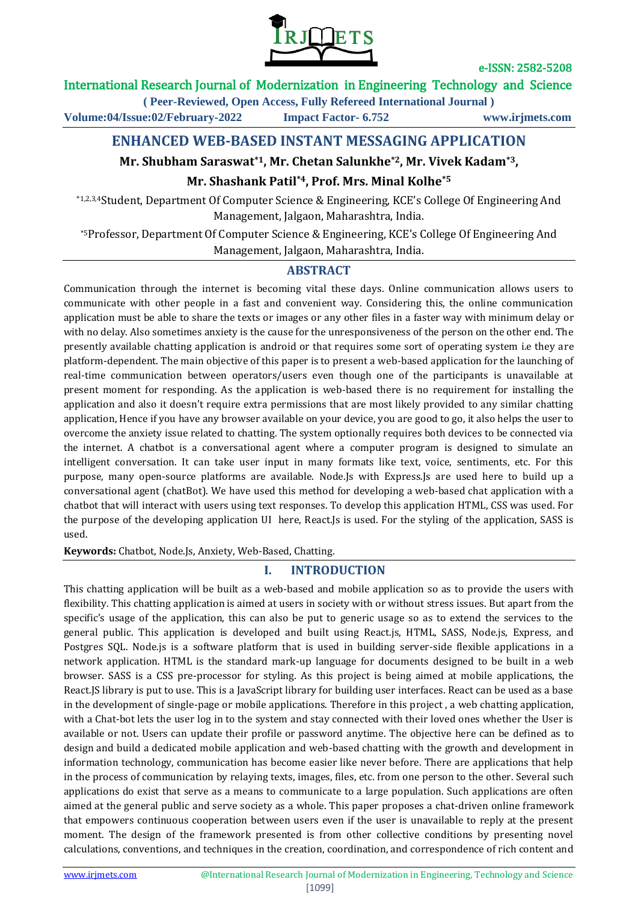

## International Research Journal of Modernization in Engineering Technology and Science

**( Peer-Reviewed, Open Access, Fully Refereed International Journal )**

**Volume:04/Issue:02/February-2022 Impact Factor- 6.752 www.irjmets.com**

## **ENHANCED WEB-BASED INSTANT MESSAGING APPLICATION**

## **Mr. Shubham Saraswat\*1, Mr. Chetan Salunkhe\*2, Mr. Vivek Kadam\*3,**

### **Mr. Shashank Patil\*4, Prof. Mrs. Minal Kolhe\*5**

\*1,2,3,4Student, Department Of Computer Science & Engineering, KCE's College Of Engineering And Management, Jalgaon, Maharashtra, India.

\*5Professor, Department Of Computer Science & Engineering, KCE's College Of Engineering And Management, Jalgaon, Maharashtra, India.

### **ABSTRACT**

Communication through the internet is becoming vital these days. Online communication allows users to communicate with other people in a fast and convenient way. Considering this, the online communication application must be able to share the texts or images or any other files in a faster way with minimum delay or with no delay. Also sometimes anxiety is the cause for the unresponsiveness of the person on the other end. The presently available chatting application is android or that requires some sort of operating system i.e they are platform-dependent. The main objective of this paper is to present a web-based application for the launching of real-time communication between operators/users even though one of the participants is unavailable at present moment for responding. As the application is web-based there is no requirement for installing the application and also it doesn't require extra permissions that are most likely provided to any similar chatting application, Hence if you have any browser available on your device, you are good to go, it also helps the user to overcome the anxiety issue related to chatting. The system optionally requires both devices to be connected via the internet. A chatbot is a conversational agent where a computer program is designed to simulate an intelligent conversation. It can take user input in many formats like text, voice, sentiments, etc. For this purpose, many open-source platforms are available. Node.Js with Express.Js are used here to build up a conversational agent (chatBot). We have used this method for developing a web-based chat application with a chatbot that will interact with users using text responses. To develop this application HTML, CSS was used. For the purpose of the developing application UI here, React.Js is used. For the styling of the application, SASS is used.

**Keywords:** Chatbot, Node.Js, Anxiety, Web-Based, Chatting.

## **I. INTRODUCTION**

This chatting application will be built as a web-based and mobile application so as to provide the users with flexibility. This chatting application is aimed at users in society with or without stress issues. But apart from the specific's usage of the application, this can also be put to generic usage so as to extend the services to the general public. This application is developed and built using React.js, HTML, SASS, Node.js, Express, and Postgres SQL. Node.js is a software platform that is used in building server-side flexible applications in a network application. HTML is the standard mark-up language for documents designed to be built in a web browser. SASS is a CSS pre-processor for styling. As this project is being aimed at mobile applications, the React.JS library is put to use. This is a JavaScript library for building user interfaces. React can be used as a base in the development of single-page or mobile applications. Therefore in this project , a web chatting application, with a Chat-bot lets the user log in to the system and stay connected with their loved ones whether the User is available or not. Users can update their profile or password anytime. The objective here can be defined as to design and build a dedicated mobile application and web-based chatting with the growth and development in information technology, communication has become easier like never before. There are applications that help in the process of communication by relaying texts, images, files, etc. from one person to the other. Several such applications do exist that serve as a means to communicate to a large population. Such applications are often aimed at the general public and serve society as a whole. This paper proposes a chat-driven online framework that empowers continuous cooperation between users even if the user is unavailable to reply at the present moment. The design of the framework presented is from other collective conditions by presenting novel calculations, conventions, and techniques in the creation, coordination, and correspondence of rich content and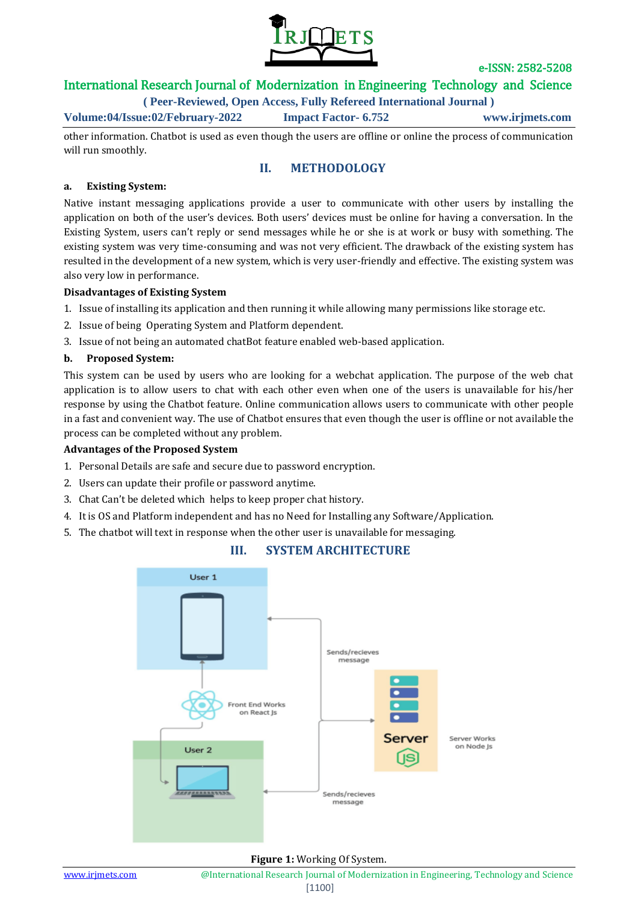

## International Research Journal of Modernization in Engineering Technology and Science

**( Peer-Reviewed, Open Access, Fully Refereed International Journal )**

**Volume:04/Issue:02/February-2022 Impact Factor- 6.752 www.irjmets.com**

other information. Chatbot is used as even though the users are offline or online the process of communication will run smoothly.

### **II. METHODOLOGY**

#### **a. Existing System:**

Native instant messaging applications provide a user to communicate with other users by installing the application on both of the user's devices. Both users' devices must be online for having a conversation. In the Existing System, users can't reply or send messages while he or she is at work or busy with something. The existing system was very time-consuming and was not very efficient. The drawback of the existing system has resulted in the development of a new system, which is very user-friendly and effective. The existing system was also very low in performance.

#### **Disadvantages of Existing System**

- 1. Issue of installing its application and then running it while allowing many permissions like storage etc.
- 2. Issue of being Operating System and Platform dependent.
- 3. Issue of not being an automated chatBot feature enabled web-based application.

#### **b. Proposed System:**

This system can be used by users who are looking for a webchat application. The purpose of the web chat application is to allow users to chat with each other even when one of the users is unavailable for his/her response by using the Chatbot feature. Online communication allows users to communicate with other people in a fast and convenient way. The use of Chatbot ensures that even though the user is offline or not available the process can be completed without any problem.

#### **Advantages of the Proposed System**

- 1. Personal Details are safe and secure due to password encryption.
- 2. Users can update their profile or password anytime.
- 3. Chat Can't be deleted which helps to keep proper chat history.
- 4. It is OS and Platform independent and has no Need for Installing any Software/Application.
- 5. The chatbot will text in response when the other user is unavailable for messaging.



## **III. SYSTEM ARCHITECTURE**

**Figure 1:** Working Of System.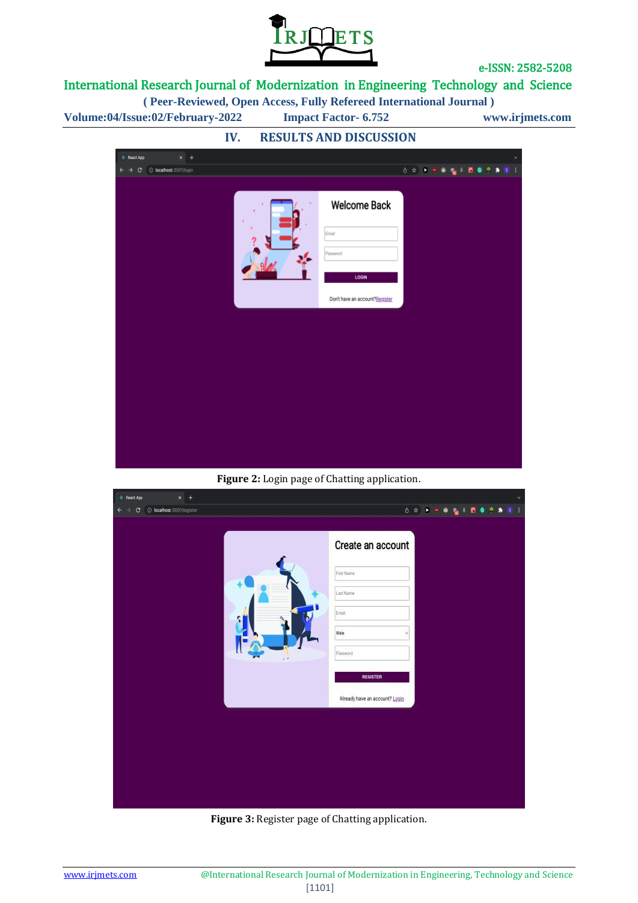

# International Research Journal of Modernization in Engineering Technology and Science

**( Peer-Reviewed, Open Access, Fully Refereed International Journal )**

**Volume:04/Issue:02/February-2022 Impact Factor- 6.752 www.irjmets.com**



**Figure 2:** Login page of Chatting application.

| React App<br>$x +$                              | $\ddot{\phantom{1}}$           |
|-------------------------------------------------|--------------------------------|
| $\circ$<br>C localhost:3001/register<br>٠<br>÷. | 百分 米国电视干西奥全身<br>s              |
|                                                 | Create an account              |
|                                                 | First Name                     |
|                                                 | Last Name                      |
|                                                 | Email                          |
|                                                 | Male                           |
|                                                 | Password.                      |
|                                                 | <b>REGISTER</b>                |
|                                                 | Already have an account? Login |
|                                                 |                                |
|                                                 |                                |
|                                                 |                                |
|                                                 |                                |
|                                                 |                                |
|                                                 |                                |

**Figure 3:** Register page of Chatting application.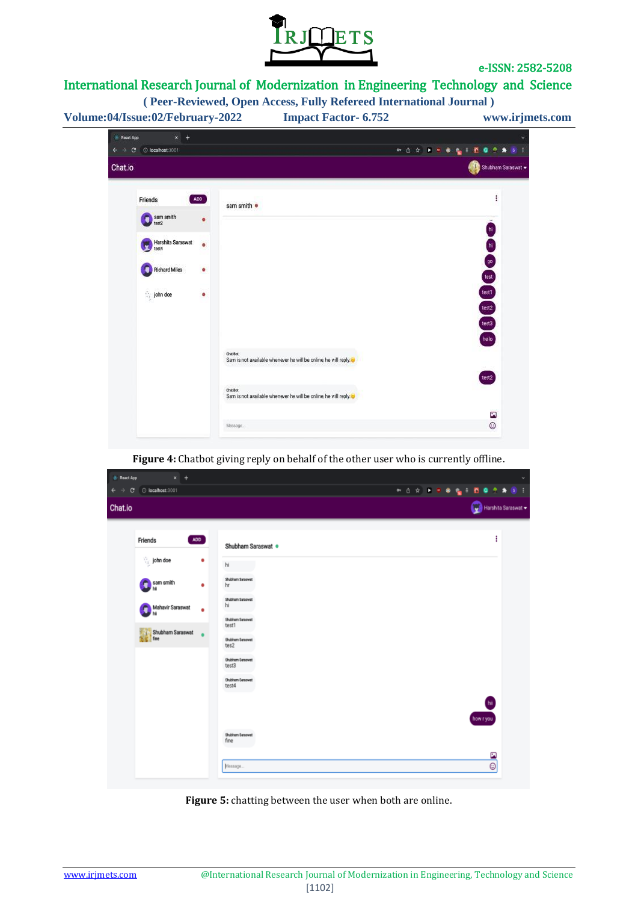

Ø  $\odot$ 

# International Research Journal of Modernization in Engineering Technology and Science

| Volume:04/Issue:02/February-2022                                                                    | <b>Impact Factor-6.752</b>                                                                                                                                   | www.irjmets.com                          |
|-----------------------------------------------------------------------------------------------------|--------------------------------------------------------------------------------------------------------------------------------------------------------------|------------------------------------------|
| $x +$<br>React App                                                                                  |                                                                                                                                                              |                                          |
| O localhost 3001<br>С<br>Chat.io                                                                    | 中西台                                                                                                                                                          | Shubham Saraswat                         |
| ADD<br>Friends                                                                                      | sam smith .                                                                                                                                                  |                                          |
| sam smith<br>٠<br>Harshita Saraswat<br>$\bullet$<br>test4<br>Richard Miles<br>۰<br>in john doe<br>٠ |                                                                                                                                                              | $h$<br>h<br>90<br>test<br>test1<br>test2 |
|                                                                                                     | Chat Bot<br>Sam is not available whenever he will be online, he will reply.<br>Chat Bot<br>Sam is not available whenever he will be online, he will reply as | test3<br>hello<br>test2                  |

**Figure 4:** Chatbot giving reply on behalf of the other user who is currently offline.

| <b>E</b> React App<br>$\vert x \vert +$<br>$\leftarrow$ $\rightarrow$ C' © localhost:3001 |                                                                   | $\checkmark$<br><b>™ Ô ☆ ▶ ◎ ◎ 。</b><br>n o<br>÷<br>$s$ :<br>٠ |
|-------------------------------------------------------------------------------------------|-------------------------------------------------------------------|----------------------------------------------------------------|
| Chat.io                                                                                   |                                                                   | Harshita Saraswat                                              |
| Friends<br>$\frac{1}{2}$ john doe                                                         | ADD<br>Shubham Saraswat ·<br>٠                                    | ÷                                                              |
| sam smith                                                                                 | hi<br>Shubham Saraswat<br>٠<br>hr<br>Shubham Saraswat<br>hi       |                                                                |
| Mahavir Saraswat<br>Shubham Saraswat                                                      | ٠<br><b>Shubham Saraswat</b><br>test1<br>Shubham Saraswat<br>tes2 |                                                                |
|                                                                                           | Shubham Saraswat<br>test3<br>Shubham Saraswat<br>test4            |                                                                |
|                                                                                           |                                                                   | hii<br>how r you                                               |
|                                                                                           | Shubham Saraswat<br>fine<br>Message                               | $\blacksquare$<br>Θ                                            |

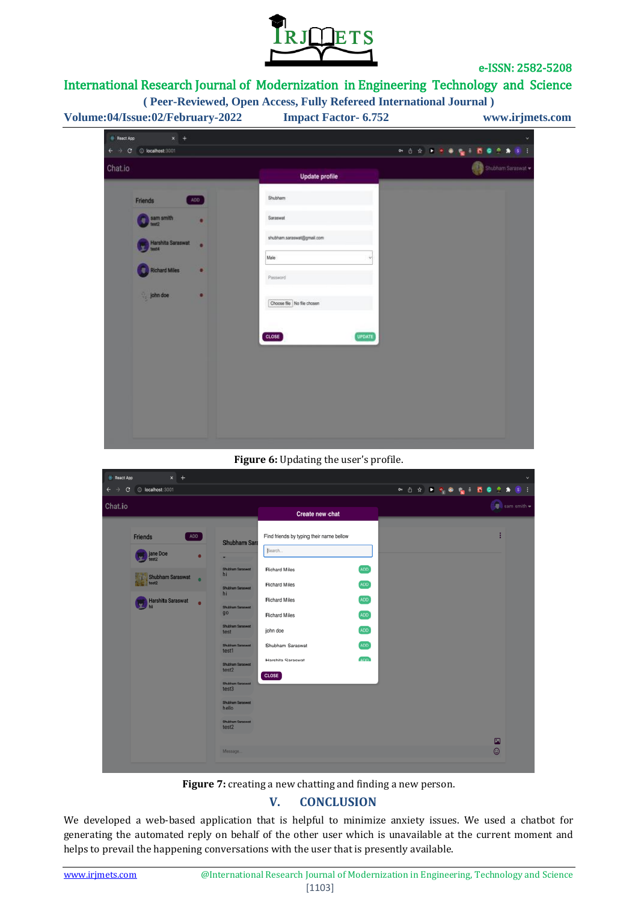

# International Research Journal of Modernization in Engineering Technology and Science

| $x +$<br><b>React App</b><br>$\leftarrow$ $\rightarrow$ C $\odot$ localhost:3001. |                            | ※ 白女 ● 夏 ● 夏 ● 夏 ● 夏<br>$* s$ |
|-----------------------------------------------------------------------------------|----------------------------|-------------------------------|
| Chat.io                                                                           | <b>Update profile</b>      | Shubham Saraswat              |
| ADD<br>Friends                                                                    | Shubham                    |                               |
| sam smith                                                                         | Saraswat                   |                               |
| Harshita Saraswat<br>6194                                                         | shubham.saraswat@gmail.com |                               |
| <b>Richard Miles</b><br>۰                                                         | Male<br>Password           |                               |
| john doe                                                                          | Choose file No file chosen |                               |
|                                                                                   | <b>UPDATE</b><br>CLOSE     |                               |
|                                                                                   |                            |                               |
|                                                                                   |                            |                               |
|                                                                                   |                            |                               |

#### **Figure 6:** Updating the user's profile.



Figure 7: creating a new chatting and finding a new person.

## **V. CONCLUSION**

We developed a web-based application that is helpful to minimize anxiety issues. We used a chatbot for generating the automated reply on behalf of the other user which is unavailable at the current moment and helps to prevail the happening conversations with the user that is presently available.